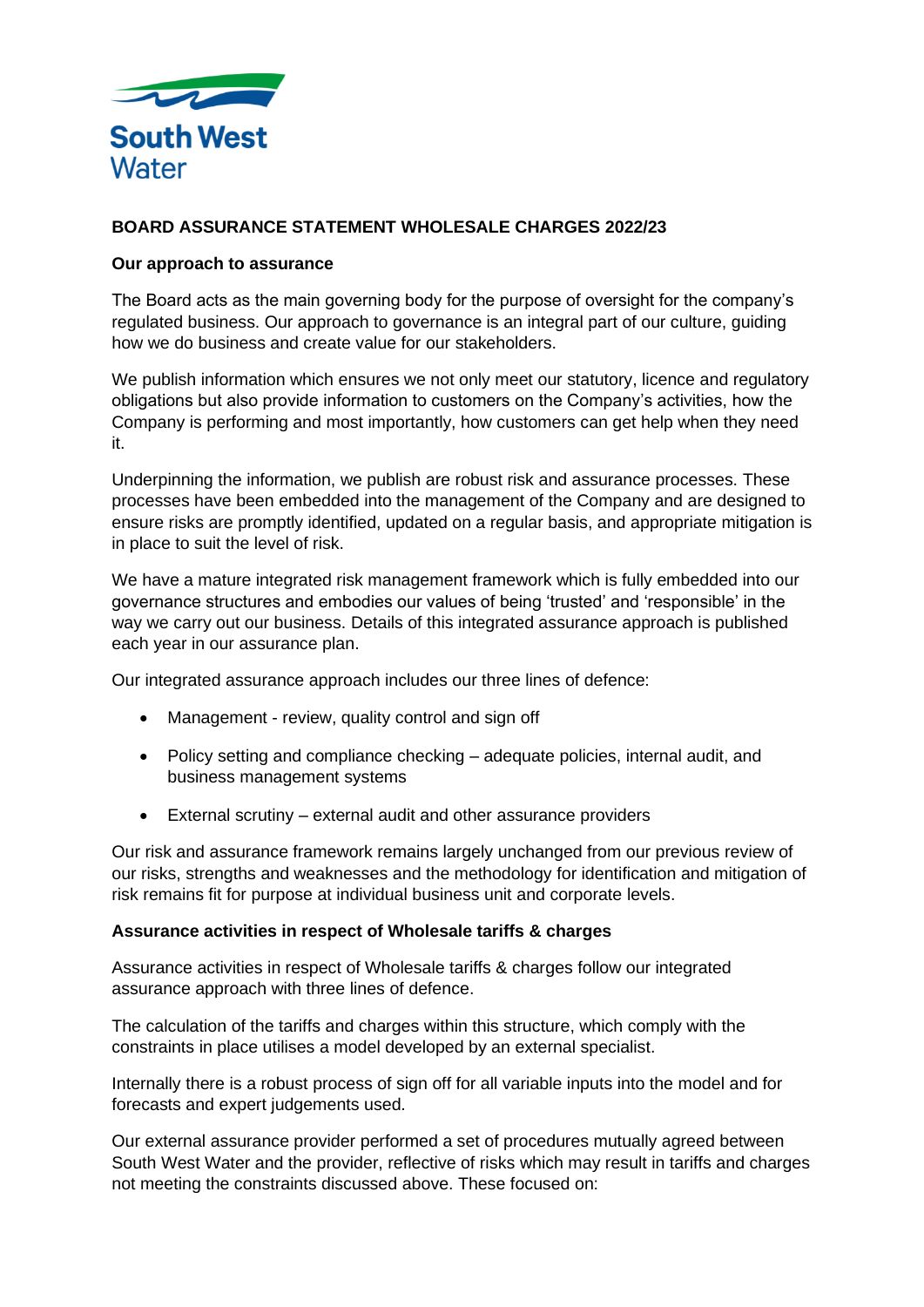

# **BOARD ASSURANCE STATEMENT WHOLESALE CHARGES 2022/23**

### **Our approach to assurance**

The Board acts as the main governing body for the purpose of oversight for the company's regulated business. Our approach to governance is an integral part of our culture, guiding how we do business and create value for our stakeholders.

We publish information which ensures we not only meet our statutory, licence and regulatory obligations but also provide information to customers on the Company's activities, how the Company is performing and most importantly, how customers can get help when they need it.

Underpinning the information, we publish are robust risk and assurance processes. These processes have been embedded into the management of the Company and are designed to ensure risks are promptly identified, updated on a regular basis, and appropriate mitigation is in place to suit the level of risk.

We have a mature integrated risk management framework which is fully embedded into our governance structures and embodies our values of being 'trusted' and 'responsible' in the way we carry out our business. Details of this integrated assurance approach is published each year in our assurance plan.

Our integrated assurance approach includes our three lines of defence:

- Management review, quality control and sign off
- Policy setting and compliance checking adequate policies, internal audit, and business management systems
- External scrutiny external audit and other assurance providers

Our risk and assurance framework remains largely unchanged from our previous review of our risks, strengths and weaknesses and the methodology for identification and mitigation of risk remains fit for purpose at individual business unit and corporate levels.

#### **Assurance activities in respect of Wholesale tariffs & charges**

Assurance activities in respect of Wholesale tariffs & charges follow our integrated assurance approach with three lines of defence.

The calculation of the tariffs and charges within this structure, which comply with the constraints in place utilises a model developed by an external specialist.

Internally there is a robust process of sign off for all variable inputs into the model and for forecasts and expert judgements used.

Our external assurance provider performed a set of procedures mutually agreed between South West Water and the provider, reflective of risks which may result in tariffs and charges not meeting the constraints discussed above. These focused on: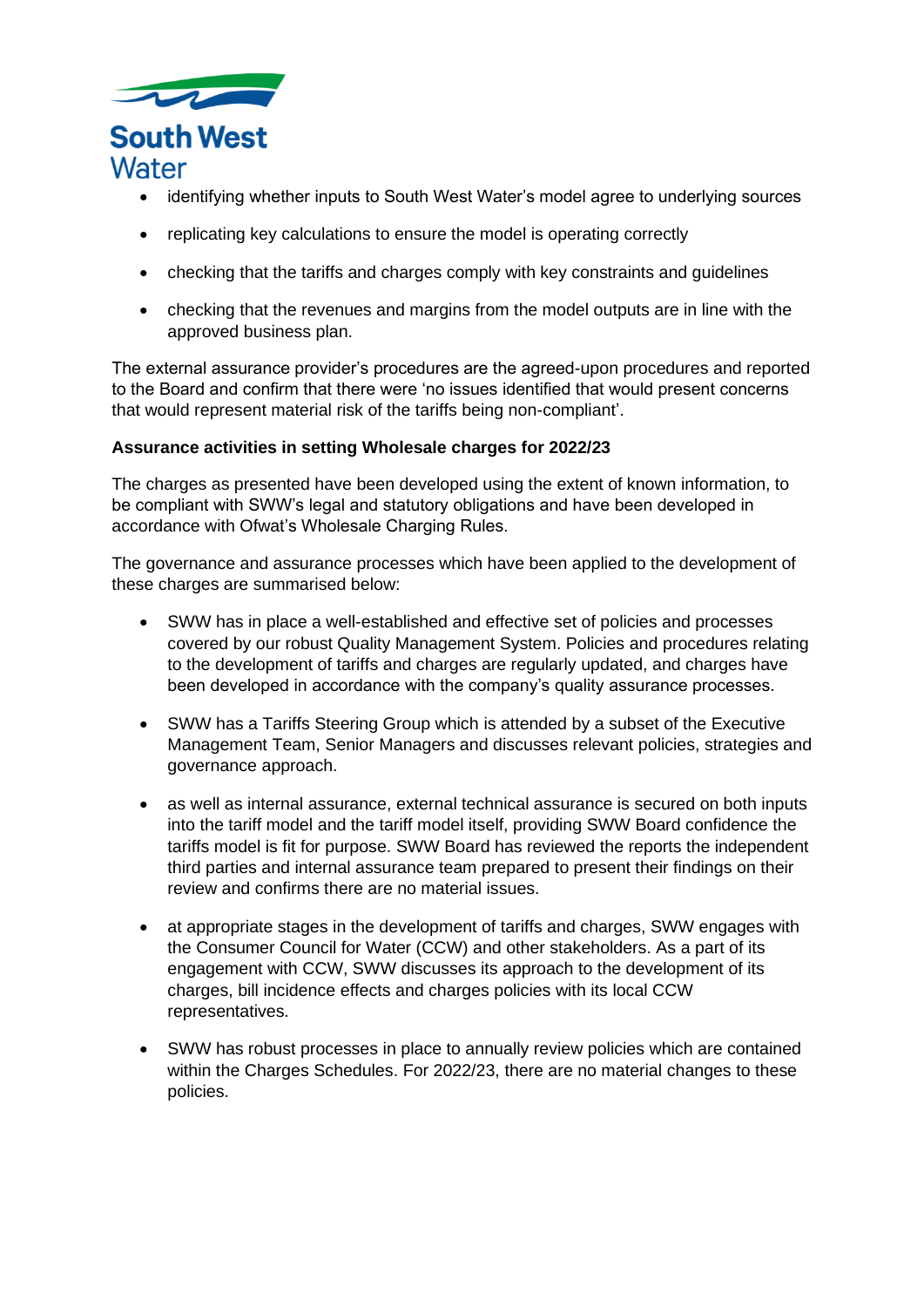

- identifying whether inputs to South West Water's model agree to underlying sources
- replicating key calculations to ensure the model is operating correctly
- checking that the tariffs and charges comply with key constraints and guidelines
- checking that the revenues and margins from the model outputs are in line with the approved business plan.

The external assurance provider's procedures are the agreed-upon procedures and reported to the Board and confirm that there were 'no issues identified that would present concerns that would represent material risk of the tariffs being non-compliant'.

### **Assurance activities in setting Wholesale charges for 2022/23**

The charges as presented have been developed using the extent of known information, to be compliant with SWW's legal and statutory obligations and have been developed in accordance with Ofwat's Wholesale Charging Rules.

The governance and assurance processes which have been applied to the development of these charges are summarised below:

- SWW has in place a well-established and effective set of policies and processes covered by our robust Quality Management System. Policies and procedures relating to the development of tariffs and charges are regularly updated, and charges have been developed in accordance with the company's quality assurance processes.
- SWW has a Tariffs Steering Group which is attended by a subset of the Executive Management Team, Senior Managers and discusses relevant policies, strategies and governance approach.
- as well as internal assurance, external technical assurance is secured on both inputs into the tariff model and the tariff model itself, providing SWW Board confidence the tariffs model is fit for purpose. SWW Board has reviewed the reports the independent third parties and internal assurance team prepared to present their findings on their review and confirms there are no material issues.
- at appropriate stages in the development of tariffs and charges, SWW engages with the Consumer Council for Water (CCW) and other stakeholders. As a part of its engagement with CCW, SWW discusses its approach to the development of its charges, bill incidence effects and charges policies with its local CCW representatives.
- SWW has robust processes in place to annually review policies which are contained within the Charges Schedules. For 2022/23, there are no material changes to these policies.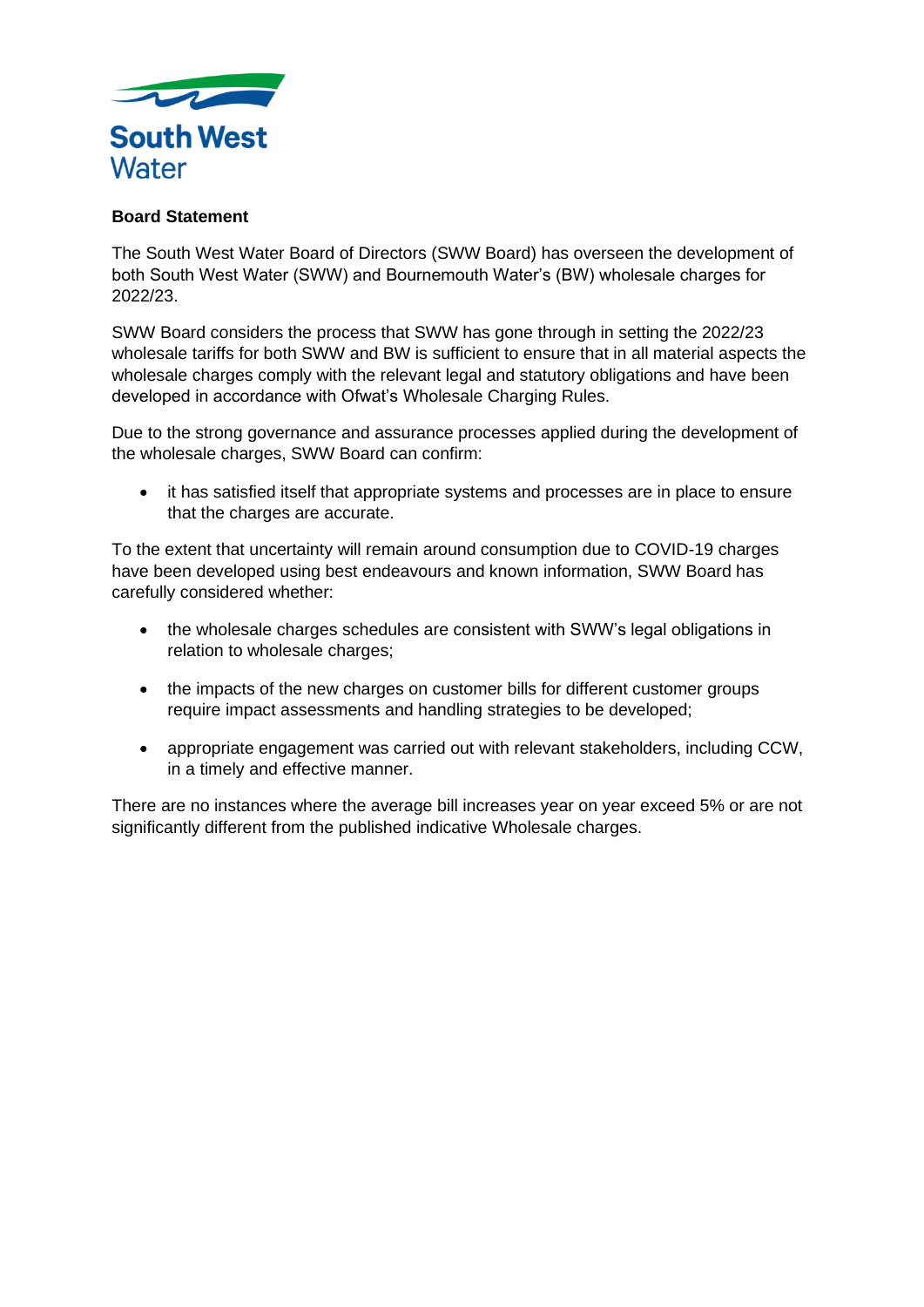

## **Board Statement**

The South West Water Board of Directors (SWW Board) has overseen the development of both South West Water (SWW) and Bournemouth Water's (BW) wholesale charges for 2022/23.

SWW Board considers the process that SWW has gone through in setting the 2022/23 wholesale tariffs for both SWW and BW is sufficient to ensure that in all material aspects the wholesale charges comply with the relevant legal and statutory obligations and have been developed in accordance with Ofwat's Wholesale Charging Rules.

Due to the strong governance and assurance processes applied during the development of the wholesale charges, SWW Board can confirm:

• it has satisfied itself that appropriate systems and processes are in place to ensure that the charges are accurate.

To the extent that uncertainty will remain around consumption due to COVID-19 charges have been developed using best endeavours and known information, SWW Board has carefully considered whether:

- the wholesale charges schedules are consistent with SWW's legal obligations in relation to wholesale charges;
- the impacts of the new charges on customer bills for different customer groups require impact assessments and handling strategies to be developed;
- appropriate engagement was carried out with relevant stakeholders, including CCW, in a timely and effective manner.

There are no instances where the average bill increases year on year exceed 5% or are not significantly different from the published indicative Wholesale charges.